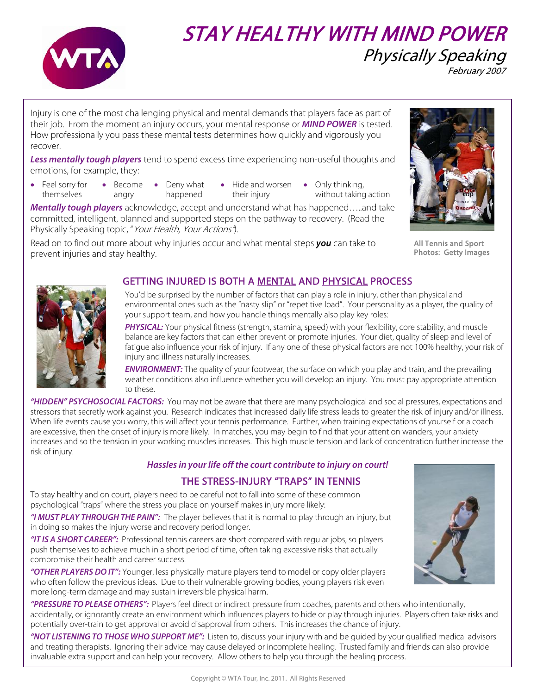

# STAY HEALTHY WITH MIND POWER Physically Speaking February 2007

Injury is one of the most challenging physical and mental demands that players face as part of their job. From the moment an injury occurs, your mental response or **MIND POWER** is tested. How professionally you pass these mental tests determines how quickly and vigorously you recover.

**Less mentally tough players** tend to spend excess time experiencing non-useful thoughts and emotions, for example, they:

- Feel sorry for themselves • Become angry
	- Deny what happened
- Hide and worsen their injury
	- Only thinking, without taking action

**Mentally tough players** acknowledge, accept and understand what has happened…..and take committed, intelligent, planned and supported steps on the pathway to recovery. (Read the Physically Speaking topic, "Your Health, Your Actions").

Read on to find out more about why injuries occur and what mental steps **you** can take to prevent injuries and stay healthy.



All Tennis and Sport Photos: Getty Images



## GETTING INJURED IS BOTH A MENTAL AND PHYSICAL PROCESS

You'd be surprised by the number of factors that can play a role in injury, other than physical and environmental ones such as the "nasty slip" or "repetitive load". Your personality as a player, the quality of your support team, and how you handle things mentally also play key roles:

**PHYSICAL:** Your physical fitness (strength, stamina, speed) with your flexibility, core stability, and muscle balance are key factors that can either prevent or promote injuries. Your diet, quality of sleep and level of fatigue also influence your risk of injury. If any one of these physical factors are not 100% healthy, your risk of injury and illness naturally increases.

**ENVIRONMENT:** The quality of your footwear, the surface on which you play and train, and the prevailing weather conditions also influence whether you will develop an injury. You must pay appropriate attention to these.

**"HIDDEN" PSYCHOSOCIAL FACTORS:** You may not be aware that there are many psychological and social pressures, expectations and stressors that secretly work against you. Research indicates that increased daily life stress leads to greater the risk of injury and/or illness. When life events cause you worry, this will affect your tennis performance. Further, when training expectations of yourself or a coach are excessive, then the onset of injury is more likely. In matches, you may begin to find that your attention wanders, your anxiety increases and so the tension in your working muscles increases. This high muscle tension and lack of concentration further increase the risk of injury.

### **Hassles in your life off the court contribute to injury on court!**

### THE STRESS-INJURY "TRAPS" IN TENNIS

To stay healthy and on court, players need to be careful not to fall into some of these common psychological "traps" where the stress you place on yourself makes injury more likely:

**"I MUST PLAY THROUGH THE PAIN":** The player believes that it is normal to play through an injury, but in doing so makes the injury worse and recovery period longer.

**"IT IS A SHORT CAREER":** Professional tennis careers are short compared with regular jobs, so players push themselves to achieve much in a short period of time, often taking excessive risks that actually compromise their health and career success.

**"OTHER PLAYERS DO IT":** Younger, less physically mature players tend to model or copy older players who often follow the previous ideas. Due to their vulnerable growing bodies, young players risk even more long-term damage and may sustain irreversible physical harm.

**"PRESSURE TO PLEASE OTHERS":** Players feel direct or indirect pressure from coaches, parents and others who intentionally, accidentally, or ignorantly create an environment which influences players to hide or play through injuries. Players often take risks and potentially over-train to get approval or avoid disapproval from others. This increases the chance of injury.

**"NOT LISTENING TO THOSE WHO SUPPORT ME":** Listen to, discuss your injury with and be guided by your qualified medical advisors and treating therapists. Ignoring their advice may cause delayed or incomplete healing.Trusted family and friends can also provide invaluable extra support and can help your recovery. Allow others to help you through the healing process.